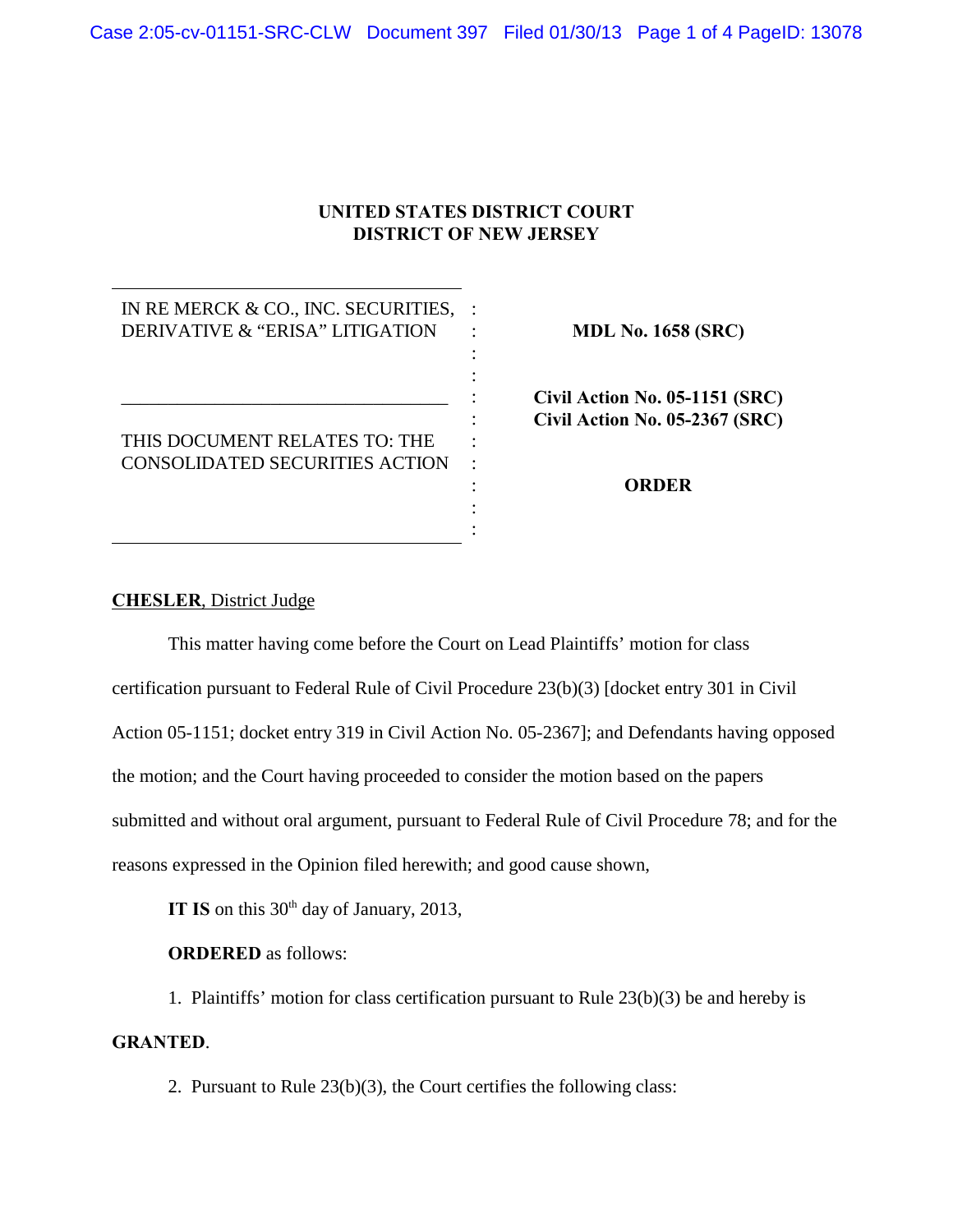## **UNITED STATES DISTRICT COURT DISTRICT OF NEW JERSEY**

: : :  $\cdot$  : : :

> : : :

IN RE MERCK & CO., INC. SECURITIES, : DERIVATIVE & "ERISA" LITIGATION

THIS DOCUMENT RELATES TO: THE CONSOLIDATED SECURITIES ACTION :

\_\_\_\_\_\_\_\_\_\_\_\_\_\_\_\_\_\_\_\_\_\_\_\_\_\_\_\_\_\_\_\_\_\_\_

**MDL No. 1658 (SRC)**

**Civil Action No. 05-1151 (SRC) Civil Action No. 05-2367 (SRC)**

**ORDER**

## **CHESLER**, District Judge

This matter having come before the Court on Lead Plaintiffs' motion for class certification pursuant to Federal Rule of Civil Procedure 23(b)(3) [docket entry 301 in Civil Action 05-1151; docket entry 319 in Civil Action No. 05-2367]; and Defendants having opposed the motion; and the Court having proceeded to consider the motion based on the papers submitted and without oral argument, pursuant to Federal Rule of Civil Procedure 78; and for the reasons expressed in the Opinion filed herewith; and good cause shown,

**IT IS** on this  $30<sup>th</sup>$  day of January, 2013,

**ORDERED** as follows:

1. Plaintiffs' motion for class certification pursuant to Rule 23(b)(3) be and hereby is **GRANTED**.

2. Pursuant to Rule 23(b)(3), the Court certifies the following class: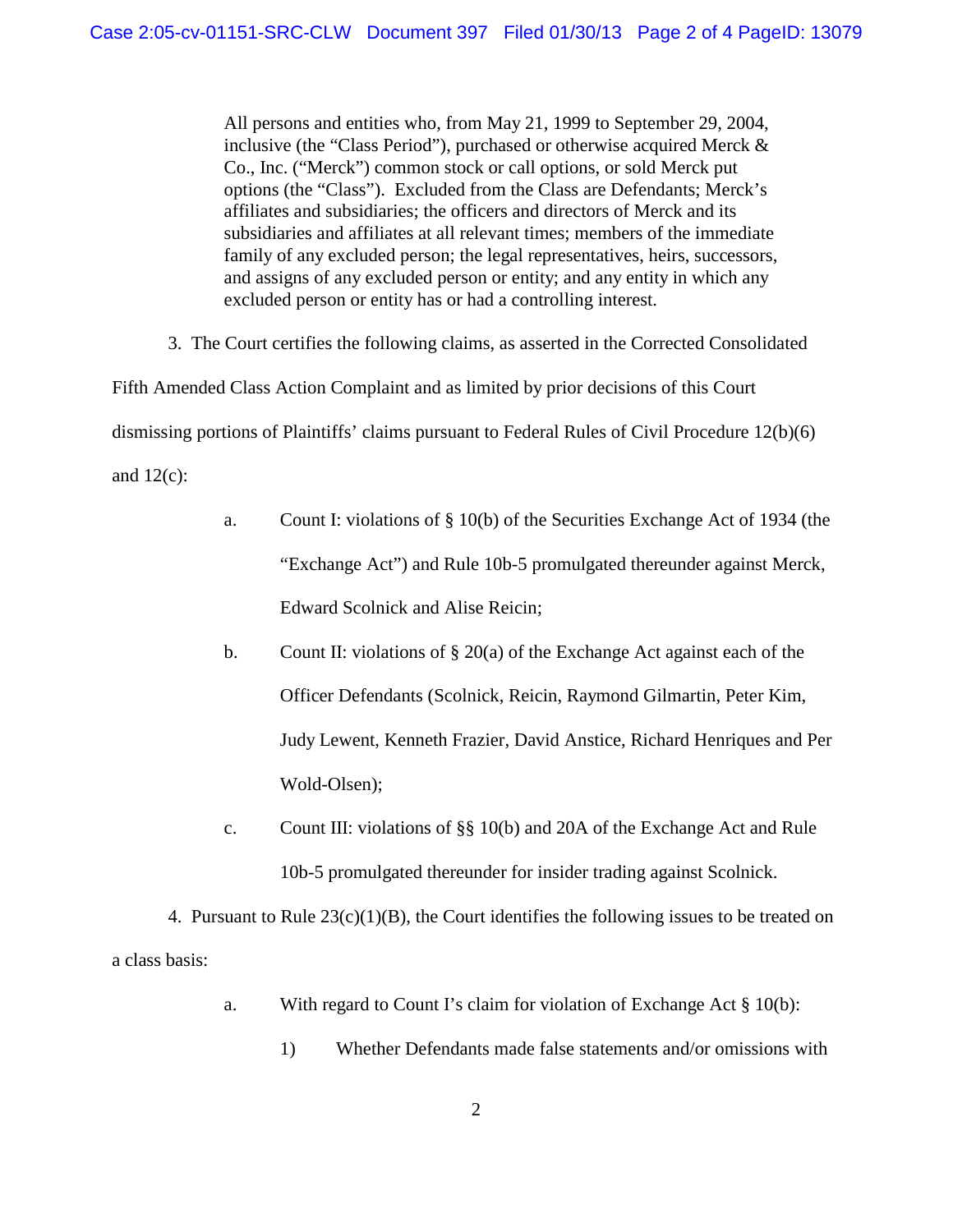All persons and entities who, from May 21, 1999 to September 29, 2004, inclusive (the "Class Period"), purchased or otherwise acquired Merck & Co., Inc. ("Merck") common stock or call options, or sold Merck put options (the "Class"). Excluded from the Class are Defendants; Merck's affiliates and subsidiaries; the officers and directors of Merck and its subsidiaries and affiliates at all relevant times; members of the immediate family of any excluded person; the legal representatives, heirs, successors, and assigns of any excluded person or entity; and any entity in which any excluded person or entity has or had a controlling interest.

3. The Court certifies the following claims, as asserted in the Corrected Consolidated

Fifth Amended Class Action Complaint and as limited by prior decisions of this Court dismissing portions of Plaintiffs' claims pursuant to Federal Rules of Civil Procedure 12(b)(6) and  $12(c)$ :

- a. Count I: violations of § 10(b) of the Securities Exchange Act of 1934 (the "Exchange Act") and Rule 10b-5 promulgated thereunder against Merck, Edward Scolnick and Alise Reicin;
- b. Count II: violations of  $\S 20(a)$  of the Exchange Act against each of the Officer Defendants (Scolnick, Reicin, Raymond Gilmartin, Peter Kim, Judy Lewent, Kenneth Frazier, David Anstice, Richard Henriques and Per Wold-Olsen);
- c. Count III: violations of §§ 10(b) and 20A of the Exchange Act and Rule 10b-5 promulgated thereunder for insider trading against Scolnick.

4. Pursuant to Rule  $23(c)(1)(B)$ , the Court identifies the following issues to be treated on a class basis:

- a. With regard to Count I's claim for violation of Exchange Act § 10(b):
	- 1) Whether Defendants made false statements and/or omissions with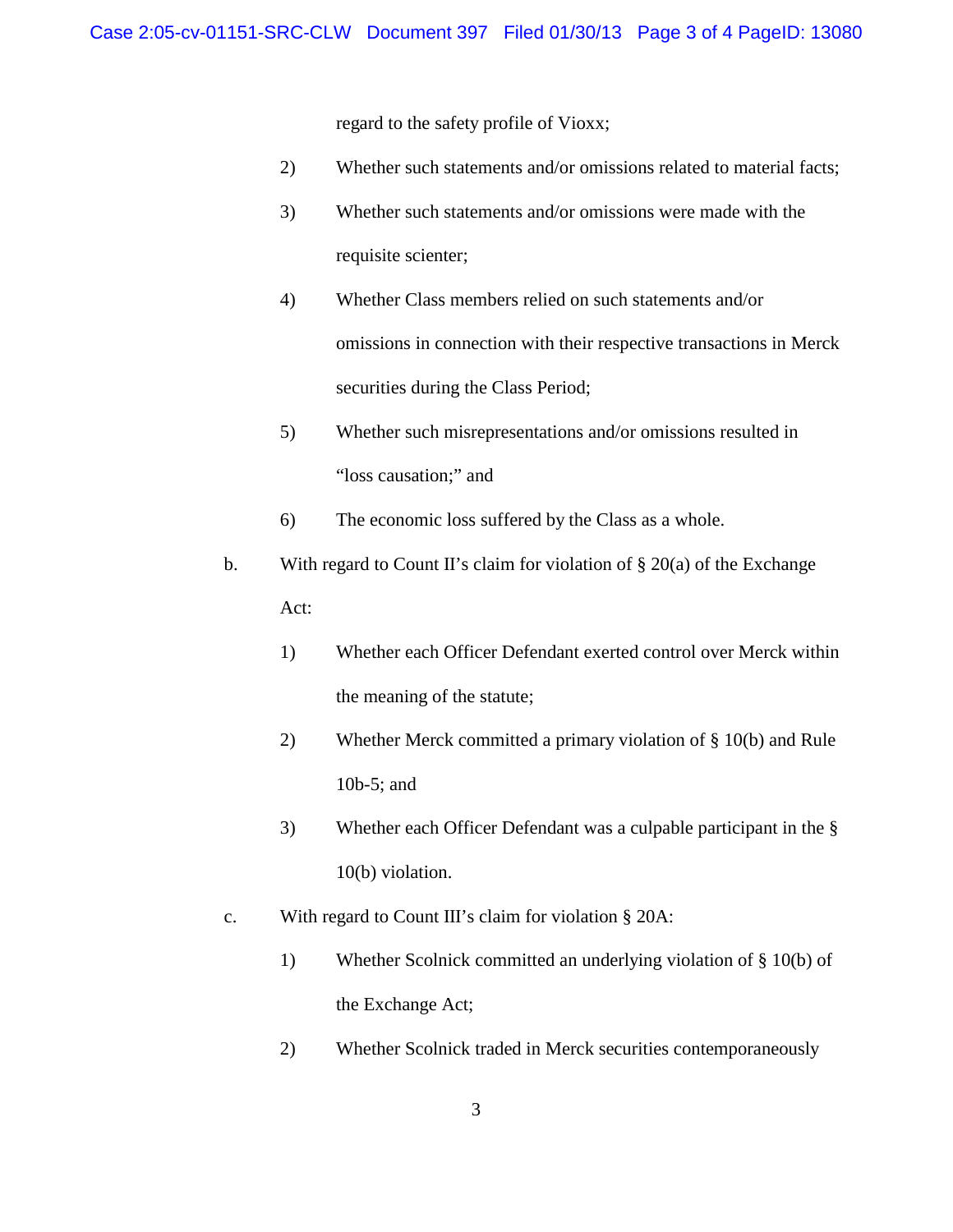regard to the safety profile of Vioxx;

- 2) Whether such statements and/or omissions related to material facts;
- 3) Whether such statements and/or omissions were made with the requisite scienter;
- 4) Whether Class members relied on such statements and/or omissions in connection with their respective transactions in Merck securities during the Class Period;
- 5) Whether such misrepresentations and/or omissions resulted in "loss causation;" and
- 6) The economic loss suffered by the Class as a whole.
- b. With regard to Count II's claim for violation of  $\S 20(a)$  of the Exchange Act:
	- 1) Whether each Officer Defendant exerted control over Merck within the meaning of the statute;
	- 2) Whether Merck committed a primary violation of § 10(b) and Rule 10b-5; and
	- 3) Whether each Officer Defendant was a culpable participant in the § 10(b) violation.
- c. With regard to Count III's claim for violation § 20A:
	- 1) Whether Scolnick committed an underlying violation of § 10(b) of the Exchange Act;
	- 2) Whether Scolnick traded in Merck securities contemporaneously